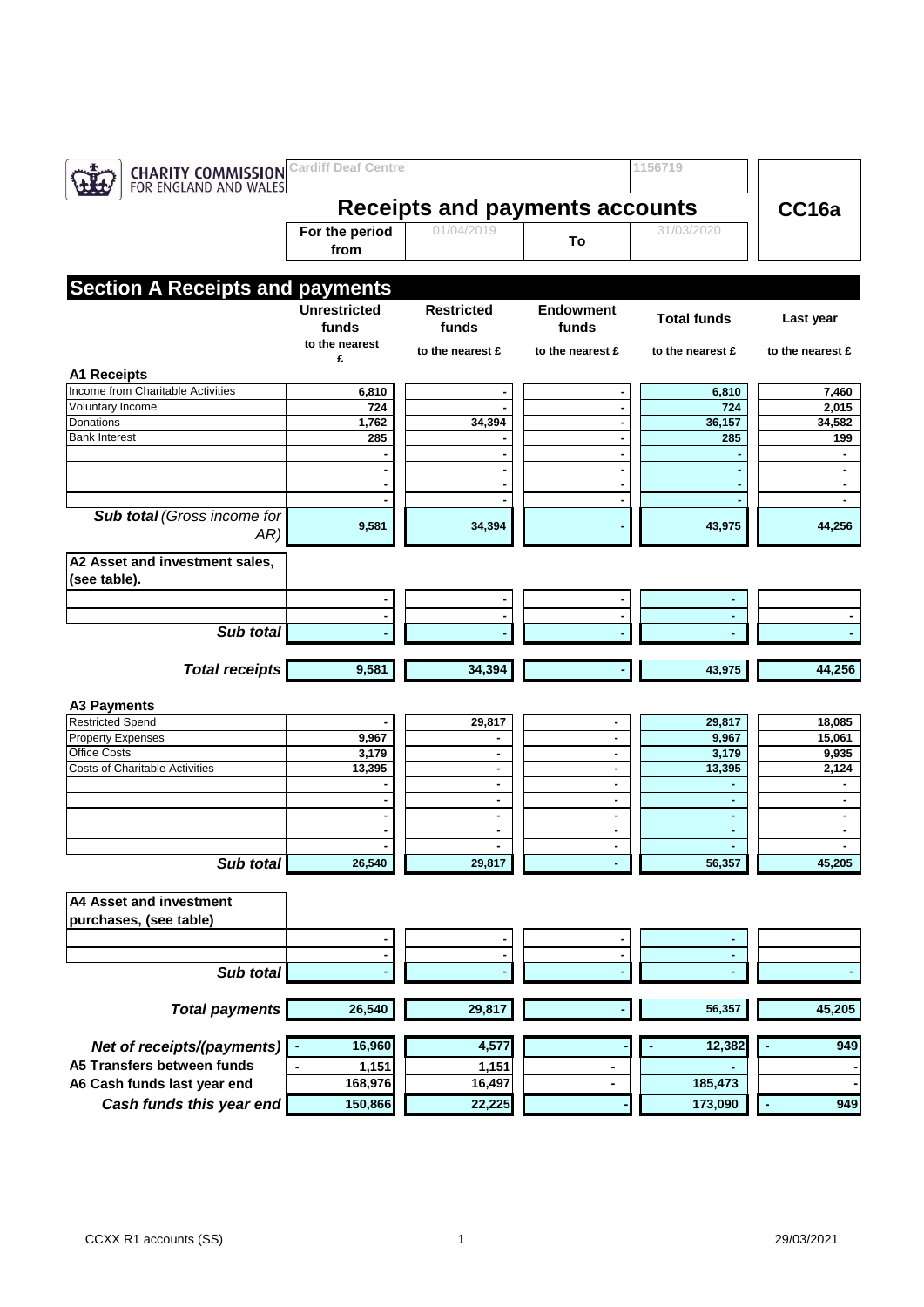| <b>Cardiff Deaf Centre</b><br><b>CHARITY COMMISSION</b><br>FOR ENGLAND AND WALES |                                       |                   |                     | 1156719            |                  |  |
|----------------------------------------------------------------------------------|---------------------------------------|-------------------|---------------------|--------------------|------------------|--|
|                                                                                  | <b>Receipts and payments accounts</b> | CC <sub>16a</sub> |                     |                    |                  |  |
|                                                                                  | For the period<br>from                | 01/04/2019        | To                  | 31/03/2020         |                  |  |
|                                                                                  |                                       |                   |                     |                    |                  |  |
| <b>Section A Receipts and payments</b>                                           | <b>Unrestricted</b>                   | <b>Restricted</b> | <b>Endowment</b>    |                    |                  |  |
|                                                                                  | funds<br>to the nearest               | funds             | funds               | <b>Total funds</b> | Last year        |  |
|                                                                                  | £                                     | to the nearest £  | to the nearest £    | to the nearest £   | to the nearest £ |  |
| <b>A1 Receipts</b>                                                               |                                       |                   |                     |                    |                  |  |
| Income from Charitable Activities                                                | 6,810                                 |                   | ٠                   | 6,810              | 7,460            |  |
| Voluntary Income<br>Donations                                                    | 724                                   |                   | $\blacksquare$      | 724                | 2,015            |  |
| <b>Bank Interest</b>                                                             | 1,762<br>285                          | 34,394            | $\blacksquare$<br>٠ | 36,157<br>285      | 34,582<br>199    |  |
|                                                                                  |                                       |                   | $\blacksquare$      |                    |                  |  |
|                                                                                  |                                       |                   | $\blacksquare$      |                    | ٠                |  |
|                                                                                  |                                       |                   | $\blacksquare$      |                    | $\blacksquare$   |  |
|                                                                                  |                                       |                   | $\blacksquare$      |                    |                  |  |
| Sub total (Gross income for<br>AR)                                               | 9,581                                 | 34,394            |                     | 43,975             | 44,256           |  |
| A2 Asset and investment sales,                                                   |                                       |                   |                     |                    |                  |  |
| (see table).                                                                     |                                       |                   |                     |                    |                  |  |
|                                                                                  | ۰                                     |                   | ٠                   | ٠                  |                  |  |
|                                                                                  |                                       |                   | ٠                   | ٠                  |                  |  |
| Sub total                                                                        |                                       |                   |                     |                    |                  |  |
|                                                                                  |                                       |                   |                     |                    |                  |  |
| <b>Total receipts</b>                                                            | 9,581                                 | 34,394            |                     | 43,975             | 44,256           |  |
|                                                                                  |                                       |                   |                     |                    |                  |  |
| <b>A3 Payments</b><br><b>Restricted Spend</b>                                    |                                       | 29,817            | ٠                   | 29,817             | 18,085           |  |
| <b>Property Expenses</b>                                                         | 9,967                                 | ٠                 |                     | 9,967              | 15,061           |  |
| <b>Office Costs</b>                                                              | 3,179                                 | $\sim$            | $\blacksquare$      | 3,179              | 9,935            |  |
| <b>Costs of Charitable Activities</b>                                            | 13,395                                | ٠                 | ٠                   | 13,395             | 2,124            |  |
|                                                                                  |                                       | ٠                 | ٠                   | ٠                  | ٠                |  |
|                                                                                  |                                       | ٠                 | ٠                   | ٠                  | $\blacksquare$   |  |
|                                                                                  |                                       | ٠                 | ٠                   | ٠                  | $\blacksquare$   |  |
|                                                                                  |                                       |                   | ٠                   | ٠                  | ٠                |  |
|                                                                                  |                                       |                   |                     |                    |                  |  |
| Sub total                                                                        | 26,540                                | 29,817            |                     | 56,357             | 45,205           |  |
| <b>A4 Asset and investment</b>                                                   |                                       |                   |                     |                    |                  |  |
| purchases, (see table)                                                           |                                       |                   |                     |                    |                  |  |
|                                                                                  |                                       |                   |                     |                    |                  |  |
|                                                                                  |                                       |                   | ٠                   | $\blacksquare$     |                  |  |
| Sub total                                                                        |                                       |                   |                     |                    |                  |  |
|                                                                                  |                                       |                   |                     |                    |                  |  |
| <b>Total payments</b>                                                            | 26,540                                | 29,817            |                     | 56,357             | 45,205           |  |
| Net of receipts/(payments)                                                       | 16,960                                | 4,577             |                     | 12,382             | 949              |  |
| A5 Transfers between funds                                                       | 1,151                                 | 1,151             |                     |                    |                  |  |
| A6 Cash funds last year end                                                      | 168,976                               | 16,497            | ۰                   | 185,473            |                  |  |
| Cash funds this year end                                                         | 150,866                               | 22,225            |                     | 173,090            | 949              |  |
|                                                                                  |                                       |                   |                     |                    |                  |  |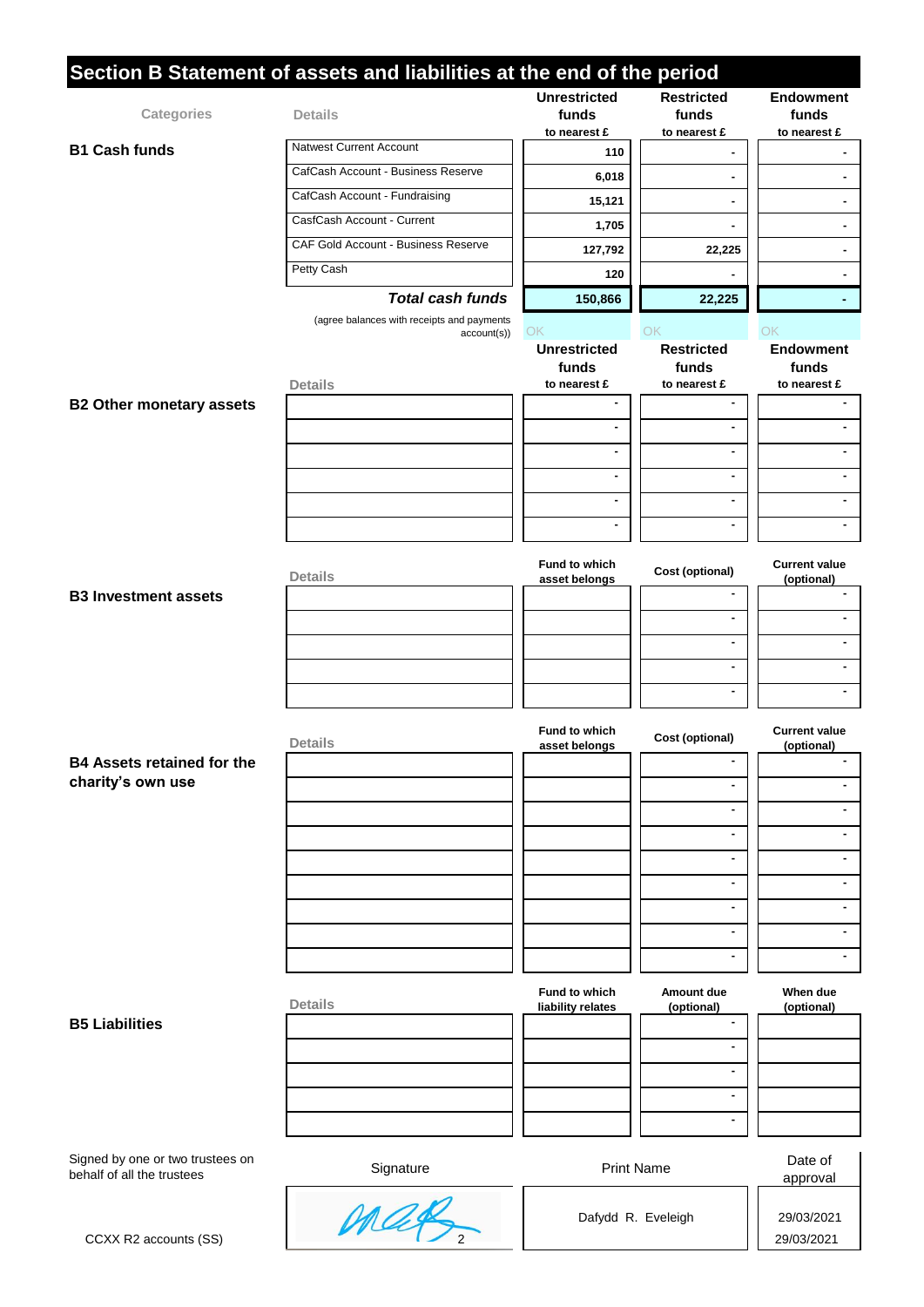|                                                                | Section B Statement of assets and liabilities at the end of the period |                                              |                                            |                                           |
|----------------------------------------------------------------|------------------------------------------------------------------------|----------------------------------------------|--------------------------------------------|-------------------------------------------|
| Categories                                                     | <b>Details</b>                                                         | <b>Unrestricted</b><br>funds<br>to nearest £ | <b>Restricted</b><br>funds<br>to nearest £ | <b>Endowment</b><br>funds<br>to nearest £ |
| <b>B1 Cash funds</b>                                           | <b>Natwest Current Account</b>                                         | 110                                          |                                            |                                           |
|                                                                | CafCash Account - Business Reserve                                     | 6,018                                        | ٠                                          |                                           |
|                                                                | CafCash Account - Fundraising                                          |                                              |                                            |                                           |
|                                                                | CasfCash Account - Current                                             | 15,121                                       |                                            |                                           |
|                                                                | CAF Gold Account - Business Reserve                                    | 1,705                                        |                                            |                                           |
|                                                                | Petty Cash                                                             | 127,792                                      | 22,225                                     |                                           |
|                                                                |                                                                        | 120                                          |                                            |                                           |
|                                                                | <b>Total cash funds</b>                                                | 150,866                                      | 22,225                                     |                                           |
|                                                                | (agree balances with receipts and payments<br>account(s))              | ОK                                           | OK                                         | OK                                        |
|                                                                |                                                                        | <b>Unrestricted</b><br>funds<br>to nearest £ | <b>Restricted</b><br>funds<br>to nearest £ | <b>Endowment</b><br>funds                 |
| <b>B2 Other monetary assets</b>                                | <b>Details</b>                                                         | $\blacksquare$                               | $\blacksquare$                             | to nearest £                              |
|                                                                |                                                                        | $\blacksquare$                               | $\blacksquare$                             |                                           |
|                                                                |                                                                        | $\blacksquare$                               | $\blacksquare$                             |                                           |
|                                                                |                                                                        | $\blacksquare$                               | $\blacksquare$                             |                                           |
|                                                                |                                                                        |                                              |                                            |                                           |
|                                                                |                                                                        | $\blacksquare$                               | ä,                                         |                                           |
|                                                                |                                                                        | $\blacksquare$                               | $\blacksquare$                             |                                           |
|                                                                | <b>Details</b>                                                         | Fund to which<br>asset belongs               | Cost (optional)                            | <b>Current value</b><br>(optional)        |
| <b>B3 Investment assets</b>                                    |                                                                        |                                              | $\blacksquare$                             |                                           |
|                                                                |                                                                        |                                              | ä,                                         |                                           |
|                                                                |                                                                        |                                              | ÷.                                         |                                           |
|                                                                |                                                                        |                                              | ä,                                         |                                           |
|                                                                |                                                                        |                                              | $\blacksquare$                             |                                           |
|                                                                | <b>Details</b>                                                         | <b>Fund to which</b><br>asset belongs        | Cost (optional)                            | <b>Current value</b><br>(optional)        |
| <b>B4 Assets retained for the</b>                              |                                                                        |                                              | ٠                                          |                                           |
| charity's own use                                              |                                                                        |                                              | $\blacksquare$                             |                                           |
|                                                                |                                                                        |                                              | $\blacksquare$                             |                                           |
|                                                                |                                                                        |                                              | $\blacksquare$                             |                                           |
|                                                                |                                                                        |                                              | ä,                                         |                                           |
|                                                                |                                                                        |                                              | $\blacksquare$                             |                                           |
|                                                                |                                                                        |                                              | $\blacksquare$                             |                                           |
|                                                                |                                                                        |                                              | $\mathbf{r}$                               |                                           |
|                                                                |                                                                        |                                              | ä,                                         |                                           |
|                                                                |                                                                        |                                              |                                            |                                           |
|                                                                | <b>Details</b>                                                         | Fund to which<br>liability relates           | Amount due<br>(optional)                   | When due<br>(optional)                    |
| <b>B5 Liabilities</b>                                          |                                                                        |                                              | $\blacksquare$                             |                                           |
|                                                                |                                                                        |                                              | $\blacksquare$                             |                                           |
|                                                                |                                                                        |                                              | $\mathbf{r}$                               |                                           |
|                                                                |                                                                        |                                              | ٠                                          |                                           |
|                                                                |                                                                        |                                              | $\blacksquare$                             |                                           |
| Signed by one or two trustees on<br>behalf of all the trustees | Signature                                                              | <b>Print Name</b>                            |                                            | Date of<br>approval                       |
|                                                                |                                                                        |                                              |                                            |                                           |
|                                                                | max                                                                    |                                              | Dafydd R. Eveleigh                         | 29/03/2021                                |
| CCXX R2 accounts (SS)                                          |                                                                        |                                              |                                            | 29/03/2021                                |